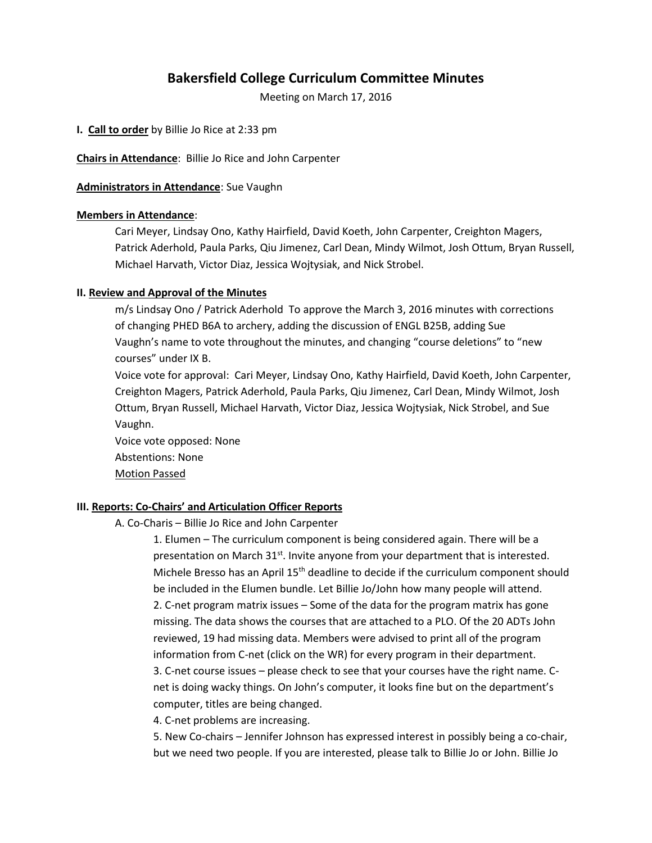# **Bakersfield College Curriculum Committee Minutes**

Meeting on March 17, 2016

**I. Call to order** by Billie Jo Rice at 2:33 pm

**Chairs in Attendance**: Billie Jo Rice and John Carpenter

**Administrators in Attendance**: Sue Vaughn

## **Members in Attendance**:

Cari Meyer, Lindsay Ono, Kathy Hairfield, David Koeth, John Carpenter, Creighton Magers, Patrick Aderhold, Paula Parks, Qiu Jimenez, Carl Dean, Mindy Wilmot, Josh Ottum, Bryan Russell, Michael Harvath, Victor Diaz, Jessica Wojtysiak, and Nick Strobel.

## **II. Review and Approval of the Minutes**

m/s Lindsay Ono / Patrick Aderhold To approve the March 3, 2016 minutes with corrections of changing PHED B6A to archery, adding the discussion of ENGL B25B, adding Sue Vaughn's name to vote throughout the minutes, and changing "course deletions" to "new courses" under IX B.

Voice vote for approval: Cari Meyer, Lindsay Ono, Kathy Hairfield, David Koeth, John Carpenter, Creighton Magers, Patrick Aderhold, Paula Parks, Qiu Jimenez, Carl Dean, Mindy Wilmot, Josh Ottum, Bryan Russell, Michael Harvath, Victor Diaz, Jessica Wojtysiak, Nick Strobel, and Sue Vaughn.

Voice vote opposed: None Abstentions: None Motion Passed

# **III. Reports: Co-Chairs' and Articulation Officer Reports**

A. Co-Charis – Billie Jo Rice and John Carpenter

1. Elumen – The curriculum component is being considered again. There will be a presentation on March 31<sup>st</sup>. Invite anyone from your department that is interested. Michele Bresso has an April 15<sup>th</sup> deadline to decide if the curriculum component should be included in the Elumen bundle. Let Billie Jo/John how many people will attend. 2. C-net program matrix issues – Some of the data for the program matrix has gone missing. The data shows the courses that are attached to a PLO. Of the 20 ADTs John reviewed, 19 had missing data. Members were advised to print all of the program information from C-net (click on the WR) for every program in their department. 3. C-net course issues – please check to see that your courses have the right name. Cnet is doing wacky things. On John's computer, it looks fine but on the department's computer, titles are being changed.

4. C-net problems are increasing.

5. New Co-chairs – Jennifer Johnson has expressed interest in possibly being a co-chair, but we need two people. If you are interested, please talk to Billie Jo or John. Billie Jo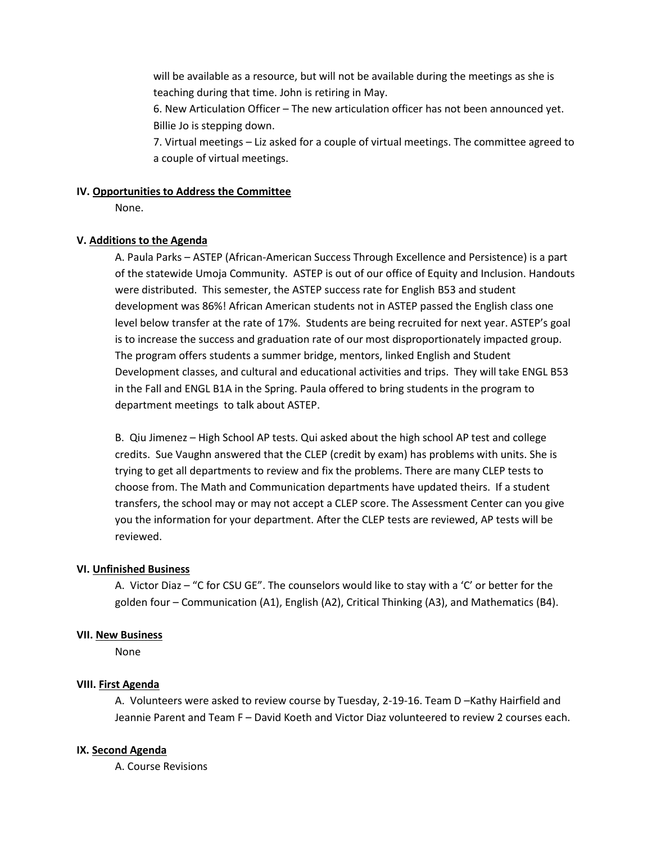will be available as a resource, but will not be available during the meetings as she is teaching during that time. John is retiring in May.

6. New Articulation Officer – The new articulation officer has not been announced yet. Billie Jo is stepping down.

7. Virtual meetings – Liz asked for a couple of virtual meetings. The committee agreed to a couple of virtual meetings.

## **IV. Opportunities to Address the Committee**

None.

# **V. Additions to the Agenda**

A. Paula Parks – ASTEP (African-American Success Through Excellence and Persistence) is a part of the statewide Umoja Community. ASTEP is out of our office of Equity and Inclusion. Handouts were distributed. This semester, the ASTEP success rate for English B53 and student development was 86%! African American students not in ASTEP passed the English class one level below transfer at the rate of 17%. Students are being recruited for next year. ASTEP's goal is to increase the success and graduation rate of our most disproportionately impacted group. The program offers students a summer bridge, mentors, linked English and Student Development classes, and cultural and educational activities and trips. They will take ENGL B53 in the Fall and ENGL B1A in the Spring. Paula offered to bring students in the program to department meetings to talk about ASTEP.

B. Qiu Jimenez – High School AP tests. Qui asked about the high school AP test and college credits. Sue Vaughn answered that the CLEP (credit by exam) has problems with units. She is trying to get all departments to review and fix the problems. There are many CLEP tests to choose from. The Math and Communication departments have updated theirs. If a student transfers, the school may or may not accept a CLEP score. The Assessment Center can you give you the information for your department. After the CLEP tests are reviewed, AP tests will be reviewed.

#### **VI. Unfinished Business**

A. Victor Diaz – "C for CSU GE". The counselors would like to stay with a 'C' or better for the golden four – Communication (A1), English (A2), Critical Thinking (A3), and Mathematics (B4).

#### **VII. New Business**

None

# **VIII. First Agenda**

A. Volunteers were asked to review course by Tuesday, 2-19-16. Team D –Kathy Hairfield and Jeannie Parent and Team F – David Koeth and Victor Diaz volunteered to review 2 courses each.

#### **IX. Second Agenda**

A. Course Revisions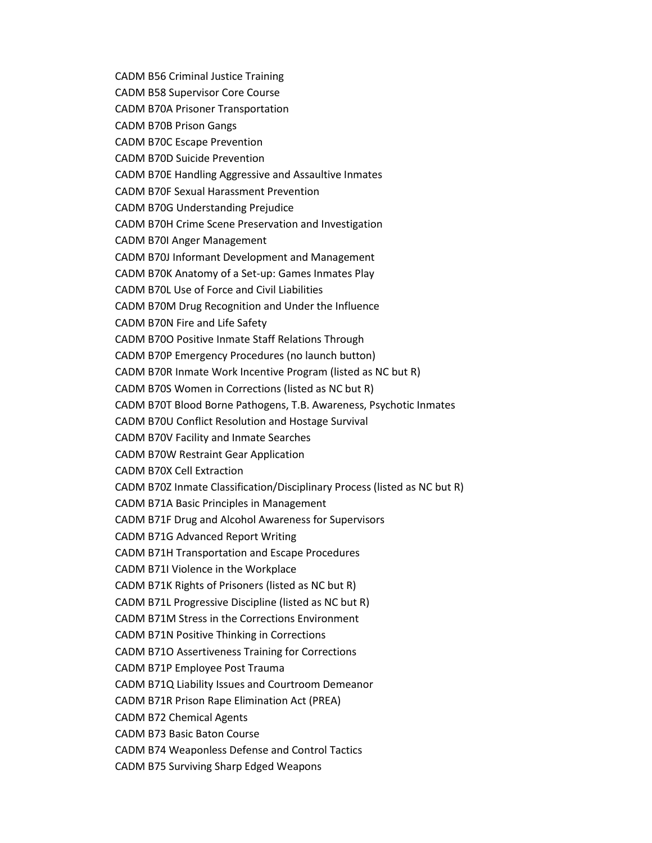CADM B56 Criminal Justice Training CADM B58 Supervisor Core Course CADM B70A Prisoner Transportation CADM B70B Prison Gangs CADM B70C Escape Prevention CADM B70D Suicide Prevention CADM B70E Handling Aggressive and Assaultive Inmates CADM B70F Sexual Harassment Prevention CADM B70G Understanding Prejudice CADM B70H Crime Scene Preservation and Investigation CADM B70I Anger Management CADM B70J Informant Development and Management CADM B70K Anatomy of a Set-up: Games Inmates Play CADM B70L Use of Force and Civil Liabilities CADM B70M Drug Recognition and Under the Influence CADM B70N Fire and Life Safety CADM B70O Positive Inmate Staff Relations Through CADM B70P Emergency Procedures (no launch button) CADM B70R Inmate Work Incentive Program (listed as NC but R) CADM B70S Women in Corrections (listed as NC but R) CADM B70T Blood Borne Pathogens, T.B. Awareness, Psychotic Inmates CADM B70U Conflict Resolution and Hostage Survival CADM B70V Facility and Inmate Searches CADM B70W Restraint Gear Application CADM B70X Cell Extraction CADM B70Z Inmate Classification/Disciplinary Process (listed as NC but R) CADM B71A Basic Principles in Management CADM B71F Drug and Alcohol Awareness for Supervisors CADM B71G Advanced Report Writing CADM B71H Transportation and Escape Procedures CADM B71I Violence in the Workplace CADM B71K Rights of Prisoners (listed as NC but R) CADM B71L Progressive Discipline (listed as NC but R) CADM B71M Stress in the Corrections Environment CADM B71N Positive Thinking in Corrections CADM B71O Assertiveness Training for Corrections CADM B71P Employee Post Trauma CADM B71Q Liability Issues and Courtroom Demeanor CADM B71R Prison Rape Elimination Act (PREA) CADM B72 Chemical Agents CADM B73 Basic Baton Course CADM B74 Weaponless Defense and Control Tactics CADM B75 Surviving Sharp Edged Weapons